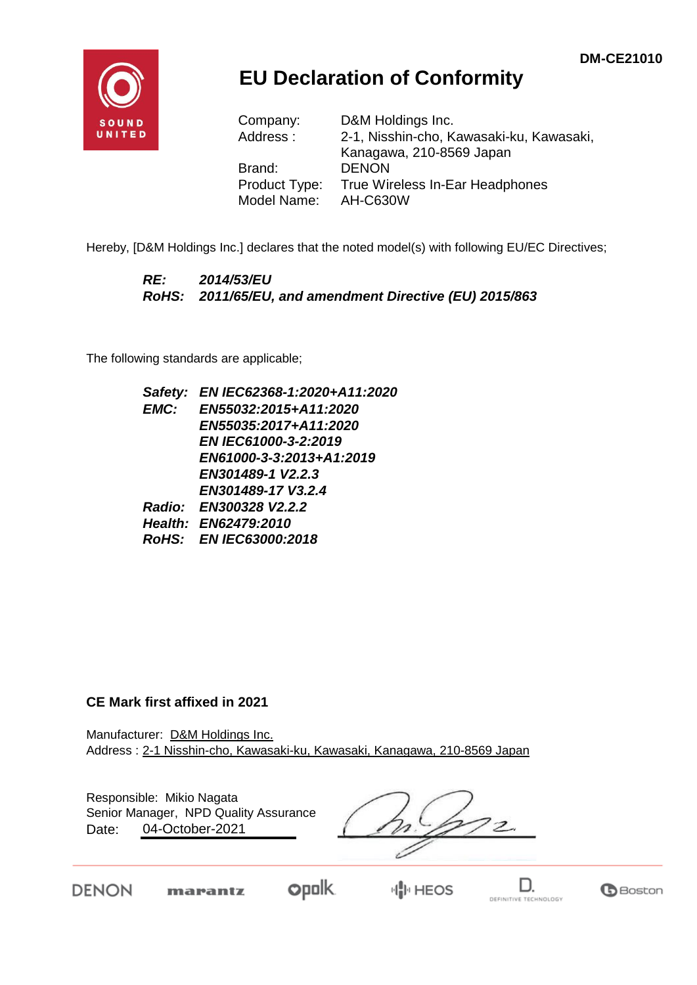

# **EU Declaration of Conformity**

| Company:      | D&M Holdings Inc.                        |
|---------------|------------------------------------------|
| Address:      | 2-1, Nisshin-cho, Kawasaki-ku, Kawasaki, |
|               | Kanagawa, 210-8569 Japan                 |
| Brand:        | <b>DENON</b>                             |
| Product Type: | True Wireless In-Ear Headphones          |
| Model Name:   | <b>AH-C630W</b>                          |

Hereby, [D&M Holdings Inc.] declares that the noted model(s) with following EU/EC Directives;

### *RE: 2014/53/EU RoHS: 2011/65/EU, and amendment Directive (EU) 2015/863*

The following standards are applicable;

*Safety: EN IEC62368-1:2020+A11:2020 EMC: EN55032:2015+A11:2020 EN55035:2017+A11:2020 EN IEC61000-3-2:2019 EN61000-3-3:2013+A1:2019 EN301489-1 V2.2.3 EN301489-17 V3.2.4 Radio: EN300328 V2.2.2 Health: EN62479:2010 RoHS: EN IEC63000:2018*

### **CE Mark first affixed in 2021**

marantz

DENON

Manufacturer: D&M Holdings Inc. Address : 2-1 Nisshin-cho, Kawasaki-ku, Kawasaki, Kanagawa, 210-8569 Japan

Responsible: Mikio Nagata Date: 04-October-2021 Senior Manager, NPD Quality Assurance

**opolk** 

D.

DEFINITIVE TECHNOLOGY

**B**Boston

**HIM HEOS**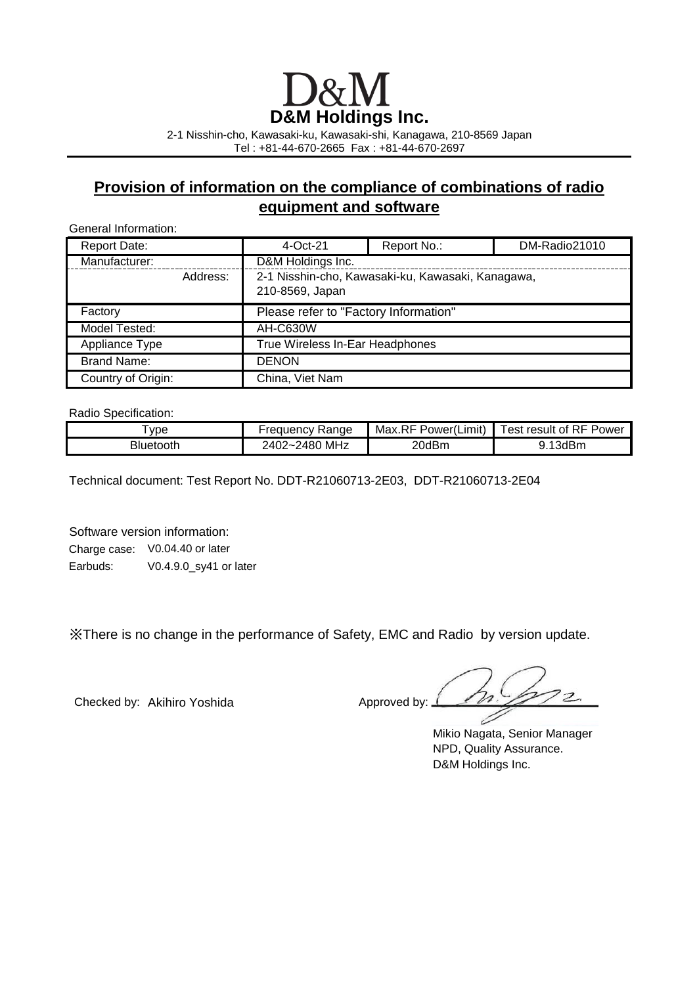# **D&M Holdings Inc.**

2-1 Nisshin-cho, Kawasaki-ku, Kawasaki-shi, Kanagawa, 210-8569 Japan Tel : +81-44-670-2665 Fax : +81-44-670-2697

### **Provision of information on the compliance of combinations of radio equipment and software**

General Information:

| <b>Report Date:</b> |                                 | $4$ -Oct-21                                                          | Report No.: | DM-Radio21010 |
|---------------------|---------------------------------|----------------------------------------------------------------------|-------------|---------------|
| Manufacturer:       |                                 | D&M Holdings Inc.                                                    |             |               |
|                     | Address:                        | 2-1 Nisshin-cho, Kawasaki-ku, Kawasaki, Kanagawa,<br>210-8569, Japan |             |               |
| Factory             |                                 | Please refer to "Factory Information"                                |             |               |
| Model Tested:       |                                 | <b>AH-C630W</b>                                                      |             |               |
| Appliance Type      | True Wireless In-Ear Headphones |                                                                      |             |               |
| <b>Brand Name:</b>  |                                 | <b>DENON</b>                                                         |             |               |
| Country of Origin:  |                                 | China, Viet Nam                                                      |             |               |

Radio Specification:

| vpe              | Range<br>requency                                 | Max.RI<br>Power(Limit) | <b>RF Power</b><br>est<br>result<br>0t |
|------------------|---------------------------------------------------|------------------------|----------------------------------------|
| <b>Bluetooth</b> | MHz<br>2480<br>"40z<br>$\tilde{\phantom{a}}$<br>- | 20dBm                  | 13dBm<br>ັ.                            |

Technical document: Test Report No. DDT-R21060713-2E03, DDT-R21060713-2E04

Software version information: Charge case: V0.04.40 or later Earbuds: V0.4.9.0\_sy41 or later

※There is no change in the performance of Safety, EMC and Radio by version update.

Checked by: Akihiro Yoshida Approved by:  $\perp$ 

Mikio Nagata, Senior Manager NPD, Quality Assurance. D&M Holdings Inc.

 $\overline{\mathcal{P}}$